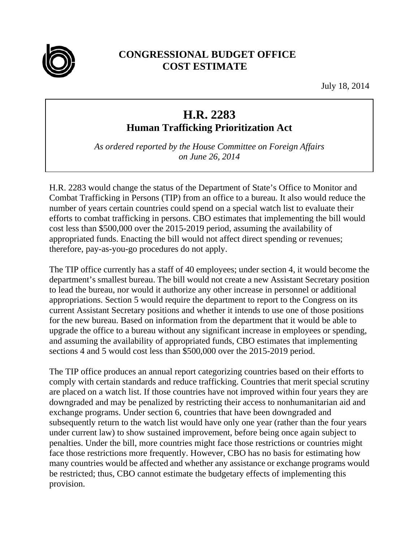

## **CONGRESSIONAL BUDGET OFFICE COST ESTIMATE**

July 18, 2014

## **H.R. 2283**

**Human Trafficking Prioritization Act** 

*As ordered reported by the House Committee on Foreign Affairs on June 26, 2014*

H.R. 2283 would change the status of the Department of State's Office to Monitor and Combat Trafficking in Persons (TIP) from an office to a bureau. It also would reduce the number of years certain countries could spend on a special watch list to evaluate their efforts to combat trafficking in persons. CBO estimates that implementing the bill would cost less than \$500,000 over the 2015-2019 period, assuming the availability of appropriated funds. Enacting the bill would not affect direct spending or revenues; therefore, pay-as-you-go procedures do not apply.

The TIP office currently has a staff of 40 employees; under section 4, it would become the department's smallest bureau. The bill would not create a new Assistant Secretary position to lead the bureau, nor would it authorize any other increase in personnel or additional appropriations. Section 5 would require the department to report to the Congress on its current Assistant Secretary positions and whether it intends to use one of those positions for the new bureau. Based on information from the department that it would be able to upgrade the office to a bureau without any significant increase in employees or spending, and assuming the availability of appropriated funds, CBO estimates that implementing sections 4 and 5 would cost less than \$500,000 over the 2015-2019 period.

The TIP office produces an annual report categorizing countries based on their efforts to comply with certain standards and reduce trafficking. Countries that merit special scrutiny are placed on a watch list. If those countries have not improved within four years they are downgraded and may be penalized by restricting their access to nonhumanitarian aid and exchange programs. Under section 6, countries that have been downgraded and subsequently return to the watch list would have only one year (rather than the four years under current law) to show sustained improvement, before being once again subject to penalties. Under the bill, more countries might face those restrictions or countries might face those restrictions more frequently. However, CBO has no basis for estimating how many countries would be affected and whether any assistance or exchange programs would be restricted; thus, CBO cannot estimate the budgetary effects of implementing this provision.